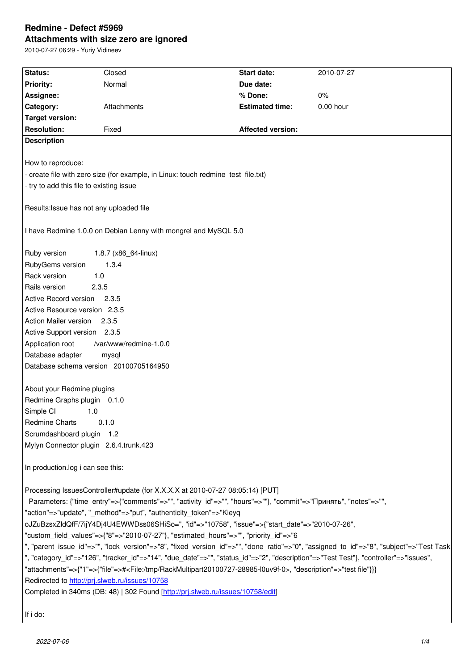#### **Attachments with size zero are ignored**

2010-07-27 06:29 - Yuriy Vidineev

| Status:                                                                                                                                | Closed      | <b>Start date:</b>       | 2010-07-27  |  |
|----------------------------------------------------------------------------------------------------------------------------------------|-------------|--------------------------|-------------|--|
| <b>Priority:</b>                                                                                                                       | Normal      | Due date:                |             |  |
| Assignee:                                                                                                                              |             | % Done:                  | $0\%$       |  |
| Category:                                                                                                                              | Attachments | <b>Estimated time:</b>   | $0.00$ hour |  |
| <b>Target version:</b>                                                                                                                 |             |                          |             |  |
| <b>Resolution:</b>                                                                                                                     | Fixed       | <b>Affected version:</b> |             |  |
| <b>Description</b>                                                                                                                     |             |                          |             |  |
|                                                                                                                                        |             |                          |             |  |
| How to reproduce:                                                                                                                      |             |                          |             |  |
| - create file with zero size (for example, in Linux: touch redmine_test_file.txt)                                                      |             |                          |             |  |
| - try to add this file to existing issue                                                                                               |             |                          |             |  |
|                                                                                                                                        |             |                          |             |  |
| Results: Issue has not any uploaded file                                                                                               |             |                          |             |  |
|                                                                                                                                        |             |                          |             |  |
| I have Redmine 1.0.0 on Debian Lenny with mongrel and MySQL 5.0                                                                        |             |                          |             |  |
|                                                                                                                                        |             |                          |             |  |
| Ruby version<br>1.8.7 (x86_64-linux)                                                                                                   |             |                          |             |  |
| RubyGems version<br>1.3.4                                                                                                              |             |                          |             |  |
| Rack version<br>1.0                                                                                                                    |             |                          |             |  |
| Rails version<br>2.3.5                                                                                                                 |             |                          |             |  |
| Active Record version 2.3.5                                                                                                            |             |                          |             |  |
| Active Resource version 2.3.5                                                                                                          |             |                          |             |  |
| Action Mailer version<br>2.3.5                                                                                                         |             |                          |             |  |
| Active Support version 2.3.5                                                                                                           |             |                          |             |  |
| Application root<br>/var/www/redmine-1.0.0                                                                                             |             |                          |             |  |
| Database adapter<br>mysql                                                                                                              |             |                          |             |  |
| Database schema version 20100705164950                                                                                                 |             |                          |             |  |
| About your Redmine plugins                                                                                                             |             |                          |             |  |
| Redmine Graphs plugin 0.1.0                                                                                                            |             |                          |             |  |
| Simple CI<br>1.0                                                                                                                       |             |                          |             |  |
| <b>Redmine Charts</b><br>0.1.0                                                                                                         |             |                          |             |  |
| Scrumdashboard plugin 1.2                                                                                                              |             |                          |             |  |
| Mylyn Connector plugin 2.6.4.trunk.423                                                                                                 |             |                          |             |  |
|                                                                                                                                        |             |                          |             |  |
| In production.log i can see this:                                                                                                      |             |                          |             |  |
|                                                                                                                                        |             |                          |             |  |
| Processing IssuesController#update (for X.X.X.X at 2010-07-27 08:05:14) [PUT]                                                          |             |                          |             |  |
| Parameters: {"time_entry"=>{"comments"=>"", "activity_id"=>"", "hours"=>""}, "commit"=>"Принять", "notes"=>"",                         |             |                          |             |  |
| "action"=>"update", "_method"=>"put", "authenticity_token"=>"Kieyq                                                                     |             |                          |             |  |
| oJZuBzsxZldQfF/7ijY4Dj4U4EWWDss06SHiSo=", "id"=>"10758", "issue"=>{"start_date"=>"2010-07-26",                                         |             |                          |             |  |
| "custom_field_values"=>{"8"=>"2010-07-27"}, "estimated_hours"=>"", "priority_id"=>"6                                                   |             |                          |             |  |
| ", "parent_issue_id"=>"", "lock_version"=>"8", "fixed_version_id"=>"", "done_ratio"=>"0", "assigned_to_id"=>"8", "subject"=>"Test Task |             |                          |             |  |
| ", "category_id"=>"126", "tracker_id"=>"14", "due_date"=>"", "status_id"=>"2", "description"=>"Test Test"}, "controller"=>"issues",    |             |                          |             |  |
| "attachments"=>{"1"=>{"file"=># <file: rackmultipart20100727-28985-l0uv9f-0="" tmp="">, "description"=&gt;"test file"}}}</file:>       |             |                          |             |  |
| Redirected to http://prj.slweb.ru/issues/10758                                                                                         |             |                          |             |  |
| Completed in 340ms (DB: 48)   302 Found [http://prj.slweb.ru/issues/10758/edit]                                                        |             |                          |             |  |
|                                                                                                                                        |             |                          |             |  |
| If i do:                                                                                                                               |             |                          |             |  |
|                                                                                                                                        |             |                          |             |  |

 $\vert$  If i do: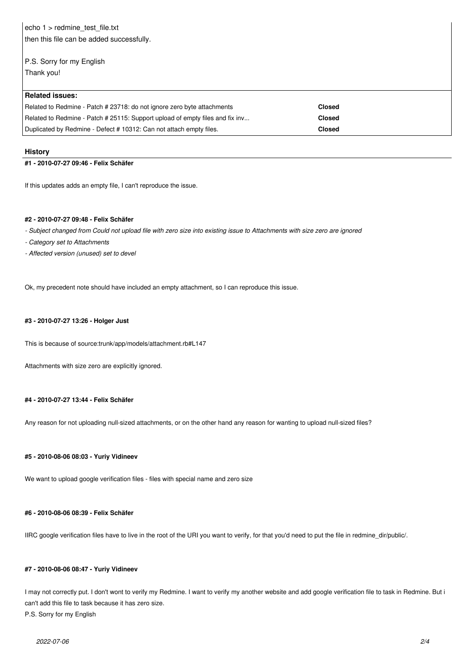echo 1 > redmine\_test\_file.txt then this file can be added successfully.

# P.S. Sorry for my English Thank you!

| <b>Related issues:</b>                                                        |               |
|-------------------------------------------------------------------------------|---------------|
| Related to Redmine - Patch # 23718: do not ignore zero byte attachments       | <b>Closed</b> |
| Related to Redmine - Patch # 25115: Support upload of empty files and fix inv | Closed        |
| Duplicated by Redmine - Defect # 10312: Can not attach empty files.           | Closed        |

#### **History**

#### **#1 - 2010-07-27 09:46 - Felix Schäfer**

If this updates adds an empty file, I can't reproduce the issue.

#### **#2 - 2010-07-27 09:48 - Felix Schäfer**

- *Subject changed from Could not upload file with zero size into existing issue to Attachments with size zero are ignored*
- *Category set to Attachments*
- *Affected version (unused) set to devel*

Ok, my precedent note should have included an empty attachment, so I can reproduce this issue.

### **#3 - 2010-07-27 13:26 - Holger Just**

This is because of source:trunk/app/models/attachment.rb#L147

Attachments with size zero are explicitly ignored.

## **#4 - 2010-07-27 13:44 - Felix Schäfer**

Any reason for not uploading null-sized attachments, or on the other hand any reason for wanting to upload null-sized files?

# **#5 - 2010-08-06 08:03 - Yuriy Vidineev**

We want to upload google verification files - files with special name and zero size

# **#6 - 2010-08-06 08:39 - Felix Schäfer**

IIRC google verification files have to live in the root of the URI you want to verify, for that you'd need to put the file in redmine\_dir/public/.

# **#7 - 2010-08-06 08:47 - Yuriy Vidineev**

I may not correctly put. I don't wont to verify my Redmine. I want to verify my another website and add google verification file to task in Redmine. But i can't add this file to task because it has zero size. P.S. Sorry for my English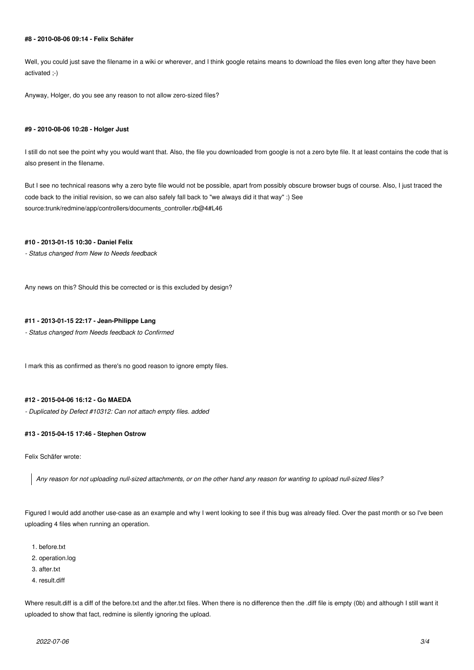## **#8 - 2010-08-06 09:14 - Felix Schäfer**

Well, you could just save the filename in a wiki or wherever, and I think google retains means to download the files even long after they have been activated ;-)

Anyway, Holger, do you see any reason to not allow zero-sized files?

#### **#9 - 2010-08-06 10:28 - Holger Just**

I still do not see the point why you would want that. Also, the file you downloaded from google is not a zero byte file. It at least contains the code that is also present in the filename.

But I see no technical reasons why a zero byte file would not be possible, apart from possibly obscure browser bugs of course. Also, I just traced the code back to the initial revision, so we can also safely fall back to "we always did it that way" :) See source:trunk/redmine/app/controllers/documents\_controller.rb@4#L46

## **#10 - 2013-01-15 10:30 - Daniel Felix**

*- Status changed from New to Needs feedback*

Any news on this? Should this be corrected or is this excluded by design?

## **#11 - 2013-01-15 22:17 - Jean-Philippe Lang**

*- Status changed from Needs feedback to Confirmed*

I mark this as confirmed as there's no good reason to ignore empty files.

## **#12 - 2015-04-06 16:12 - Go MAEDA**

*- Duplicated by Defect #10312: Can not attach empty files. added*

#### **#13 - 2015-04-15 17:46 - Stephen Ostrow**

Felix Schäfer wrote:

*Any reason for not uploading null-sized attachments, or on the other hand any reason for wanting to upload null-sized files?*

Figured I would add another use-case as an example and why I went looking to see if this bug was already filed. Over the past month or so I've been uploading 4 files when running an operation.

- 1. before.txt
- 2. operation.log
- 3. after.txt
- 4. result.diff

Where result.diff is a diff of the before.txt and the after.txt files. When there is no difference then the .diff file is empty (0b) and although I still want it uploaded to show that fact, redmine is silently ignoring the upload.